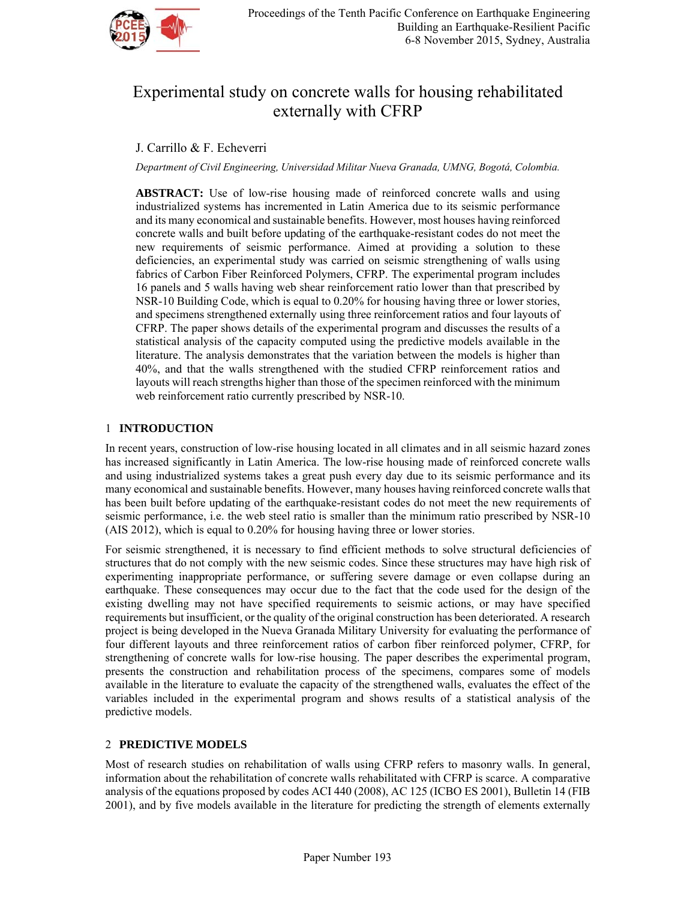

# Experimental study on concrete walls for housing rehabilitated externally with CFRP

# J. Carrillo & F. Echeverri

*Department of Civil Engineering, Universidad Militar Nueva Granada, UMNG, Bogotá, Colombia.* 

**ABSTRACT:** Use of low-rise housing made of reinforced concrete walls and using industrialized systems has incremented in Latin America due to its seismic performance and its many economical and sustainable benefits. However, most houses having reinforced concrete walls and built before updating of the earthquake-resistant codes do not meet the new requirements of seismic performance. Aimed at providing a solution to these deficiencies, an experimental study was carried on seismic strengthening of walls using fabrics of Carbon Fiber Reinforced Polymers, CFRP. The experimental program includes 16 panels and 5 walls having web shear reinforcement ratio lower than that prescribed by NSR-10 Building Code, which is equal to 0.20% for housing having three or lower stories, and specimens strengthened externally using three reinforcement ratios and four layouts of CFRP. The paper shows details of the experimental program and discusses the results of a statistical analysis of the capacity computed using the predictive models available in the literature. The analysis demonstrates that the variation between the models is higher than 40%, and that the walls strengthened with the studied CFRP reinforcement ratios and layouts will reach strengths higher than those of the specimen reinforced with the minimum web reinforcement ratio currently prescribed by NSR-10.

### 1 **INTRODUCTION**

In recent years, construction of low-rise housing located in all climates and in all seismic hazard zones has increased significantly in Latin America. The low-rise housing made of reinforced concrete walls and using industrialized systems takes a great push every day due to its seismic performance and its many economical and sustainable benefits. However, many houses having reinforced concrete walls that has been built before updating of the earthquake-resistant codes do not meet the new requirements of seismic performance, i.e. the web steel ratio is smaller than the minimum ratio prescribed by NSR-10 (AIS 2012), which is equal to 0.20% for housing having three or lower stories.

For seismic strengthened, it is necessary to find efficient methods to solve structural deficiencies of structures that do not comply with the new seismic codes. Since these structures may have high risk of experimenting inappropriate performance, or suffering severe damage or even collapse during an earthquake. These consequences may occur due to the fact that the code used for the design of the existing dwelling may not have specified requirements to seismic actions, or may have specified requirements but insufficient, or the quality of the original construction has been deteriorated. A research project is being developed in the Nueva Granada Military University for evaluating the performance of four different layouts and three reinforcement ratios of carbon fiber reinforced polymer, CFRP, for strengthening of concrete walls for low-rise housing. The paper describes the experimental program, presents the construction and rehabilitation process of the specimens, compares some of models available in the literature to evaluate the capacity of the strengthened walls, evaluates the effect of the variables included in the experimental program and shows results of a statistical analysis of the predictive models.

## 2 **PREDICTIVE MODELS**

Most of research studies on rehabilitation of walls using CFRP refers to masonry walls. In general, information about the rehabilitation of concrete walls rehabilitated with CFRP is scarce. A comparative analysis of the equations proposed by codes ACI 440 (2008), AC 125 (ICBO ES 2001), Bulletin 14 (FIB 2001), and by five models available in the literature for predicting the strength of elements externally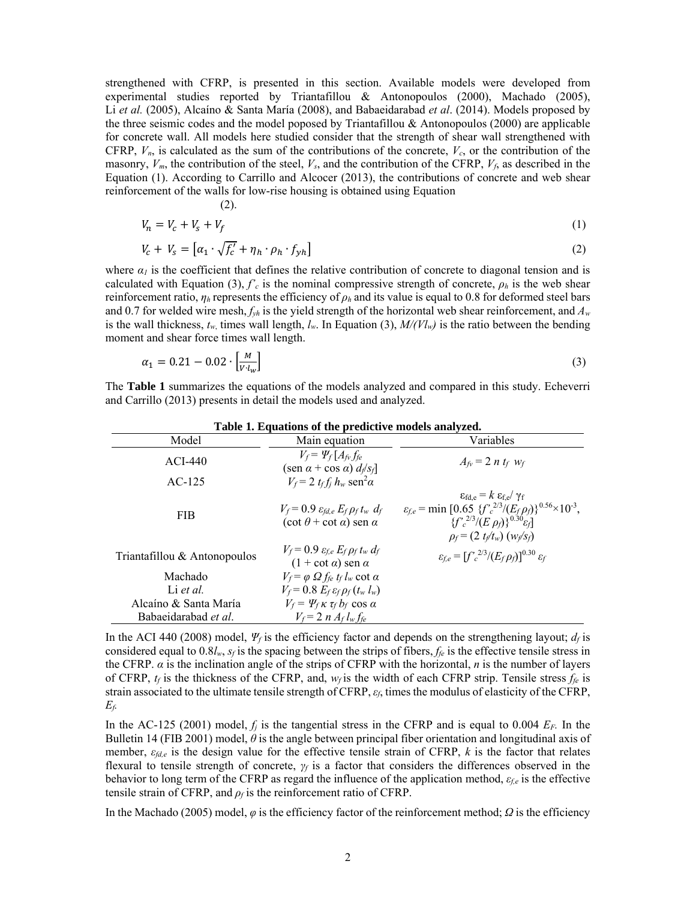strengthened with CFRP, is presented in this section. Available models were developed from experimental studies reported by Triantafillou & Antonopoulos (2000), Machado (2005), Li *et al.* (2005), Alcaíno & Santa María (2008), and Babaeidarabad *et al*. (2014). Models proposed by the three seismic codes and the model poposed by Triantafillou & Antonopoulos (2000) are applicable for concrete wall. All models here studied consider that the strength of shear wall strengthened with CFRP,  $V_n$ , is calculated as the sum of the contributions of the concrete,  $V_c$ , or the contribution of the masonry,  $V_m$ , the contribution of the steel,  $V_s$ , and the contribution of the CFRP,  $V_f$ , as described in the Equation (1). According to Carrillo and Alcocer (2013), the contributions of concrete and web shear reinforcement of the walls for low-rise housing is obtained using Equation

$$
V_n = V_c + V_s + V_f \tag{1}
$$

$$
V + V = \left[\alpha + \sqrt{f'} + n \cdot \alpha + f\right]
$$
\n(2)

$$
V_c + V_s = \left[ \alpha_1 \cdot \sqrt{f_c} + \eta_h \cdot \rho_h \cdot f_{yh} \right]
$$
 (2)

where  $a_l$  is the coefficient that defines the relative contribution of concrete to diagonal tension and is calculated with Equation (3),  $f'_c$  is the nominal compressive strength of concrete,  $\rho_h$  is the web shear reinforcement ratio,  $\eta_h$  represents the efficiency of  $\rho_h$  and its value is equal to 0.8 for deformed steel bars and 0.7 for welded wire mesh, *fyh* is the yield strength of the horizontal web shear reinforcement, and *Aw* is the wall thickness,  $t_w$ , times wall length,  $l_w$ . In Equation (3),  $M/(Vl_w)$  is the ratio between the bending moment and shear force times wall length.

$$
\alpha_1 = 0.21 - 0.02 \cdot \left[\frac{M}{V \cdot l_w}\right] \tag{3}
$$

The **Table 1** summarizes the equations of the models analyzed and compared in this study. Echeverri and Carrillo (2013) presents in detail the models used and analyzed.

| Table 1. Equations of the predictive models analyzed. |                                                                                                          |                                                                                                                                                                                                                                                     |  |  |  |  |  |
|-------------------------------------------------------|----------------------------------------------------------------------------------------------------------|-----------------------------------------------------------------------------------------------------------------------------------------------------------------------------------------------------------------------------------------------------|--|--|--|--|--|
| Model                                                 | Main equation                                                                                            | Variables                                                                                                                                                                                                                                           |  |  |  |  |  |
| $ACI-440$                                             | $V_f = \Psi_f[A_{fv}f_{fe}]$<br>$(\text{sen } \alpha + \text{cos } \alpha) d_f/s_f$                      | $A_{fv} = 2 n t_f w_f$                                                                                                                                                                                                                              |  |  |  |  |  |
| $AC-125$                                              | $V_f$ = 2 $t_f f_i h_w$ sen <sup>2</sup> a                                                               |                                                                                                                                                                                                                                                     |  |  |  |  |  |
| <b>FIB</b>                                            | $V_f$ = 0.9 $\varepsilon_{\text{fd.e}} E_f \rho_f t_w d_f$<br>$(\cot \theta + \cot \alpha)$ sen $\alpha$ | $\epsilon_{\text{fd e}} = k \epsilon_{\text{fe}} / \gamma_{\text{f}}$<br>$\varepsilon_{f,e}$ = min [0.65 $\{f'^{2/3}/(E_f \rho_f)\}^{0.56} \times 10^{-3}$ ,<br>$\{f'_c^{2/3}/(E \rho_f)\}^{0.30}$ $\epsilon_f$<br>$\rho_f = (2 t_f/t_w) (w_f/s_f)$ |  |  |  |  |  |
| Triantafillou & Antonopoulos                          | $V_f = 0.9 \varepsilon_{f,e} E_f \rho_f t_w d_f$<br>$(1 + \cot \alpha)$ sen $\alpha$                     | $\varepsilon_{f,e} = [f'_{c}^{2/3}/(E_f \rho_f)]^{0.30} \varepsilon_f$                                                                                                                                                                              |  |  |  |  |  |
| Machado                                               | $V_f = \varphi \Omega f_{fe} t_f l_w \cot \alpha$                                                        |                                                                                                                                                                                                                                                     |  |  |  |  |  |
| Li et al.                                             | $V_f = 0.8 E_f \varepsilon_f \rho_f (t_w l_w)$                                                           |                                                                                                                                                                                                                                                     |  |  |  |  |  |
| Alcaíno & Santa María                                 | $V_f = \Psi_f \kappa \tau_f b_f \cos \alpha$                                                             |                                                                                                                                                                                                                                                     |  |  |  |  |  |
| Babaeidarabad et al.                                  | $V_f$ = 2 n $A_f l_w f_{te}$                                                                             |                                                                                                                                                                                                                                                     |  |  |  |  |  |

**Table 1. Equations of the predictive models analyzed.**

In the ACI 440 (2008) model,  $\Psi_f$  is the efficiency factor and depends on the strengthening layout;  $d_f$  is considered equal to  $0.8l_w$ ,  $s_f$  is the spacing between the strips of fibers,  $f_{fe}$  is the effective tensile stress in the CFRP. *α* is the inclination angle of the strips of CFRP with the horizontal, *n* is the number of layers of CFRP,  $t_f$  is the thickness of the CFRP, and,  $w_f$  is the width of each CFRP strip. Tensile stress  $f_{fe}$  is strain associated to the ultimate tensile strength of CFRP, *εf*, times the modulus of elasticity of the CFRP, *Ef.*

In the AC-125 (2001) model,  $f_j$  is the tangential stress in the CFRP and is equal to 0.004  $E_F$ . In the Bulletin 14 (FIB 2001) model, *θ* is the angle between principal fiber orientation and longitudinal axis of member,  $\varepsilon_{\ell d,e}$  is the design value for the effective tensile strain of CFRP, k is the factor that relates flexural to tensile strength of concrete, *γf* is a factor that considers the differences observed in the behavior to long term of the CFRP as regard the influence of the application method, *εf,e* is the effective tensile strain of CFRP, and  $\rho_f$  is the reinforcement ratio of CFRP.

In the Machado (2005) model, *φ* is the efficiency factor of the reinforcement method; *Ω* is the efficiency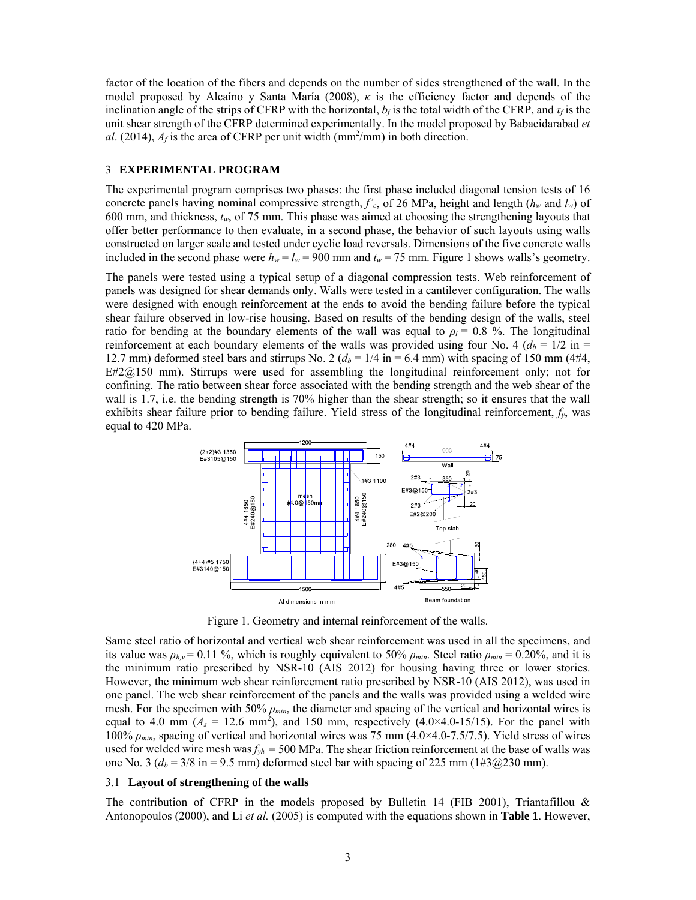factor of the location of the fibers and depends on the number of sides strengthened of the wall. In the model proposed by Alcaíno y Santa María (2008), *κ* is the efficiency factor and depends of the inclination angle of the strips of CFRP with the horizontal,  $b_f$  is the total width of the CFRP, and  $\tau_f$  is the unit shear strength of the CFRP determined experimentally. In the model proposed by Babaeidarabad *et*  al. (2014),  $A_f$  is the area of CFRP per unit width ( $mm<sup>2</sup>/mm$ ) in both direction.

#### 3 **EXPERIMENTAL PROGRAM**

The experimental program comprises two phases: the first phase included diagonal tension tests of 16 concrete panels having nominal compressive strength,  $f'_c$ , of 26 MPa, height and length ( $h_w$  and  $l_w$ ) of 600 mm, and thickness, *tw*, of 75 mm. This phase was aimed at choosing the strengthening layouts that offer better performance to then evaluate, in a second phase, the behavior of such layouts using walls constructed on larger scale and tested under cyclic load reversals. Dimensions of the five concrete walls included in the second phase were  $h_w = l_w = 900$  mm and  $t_w = 75$  mm. Figure 1 shows walls's geometry.

The panels were tested using a typical setup of a diagonal compression tests. Web reinforcement of panels was designed for shear demands only. Walls were tested in a cantilever configuration. The walls were designed with enough reinforcement at the ends to avoid the bending failure before the typical shear failure observed in low-rise housing. Based on results of the bending design of the walls, steel ratio for bending at the boundary elements of the wall was equal to  $\rho_l = 0.8$  %. The longitudinal reinforcement at each boundary elements of the walls was provided using four No. 4  $(d_b = 1/2$  in = 12.7 mm) deformed steel bars and stirrups No. 2  $(d_b = 1/4$  in = 6.4 mm) with spacing of 150 mm (4#4,  $E#2@150$  mm). Stirrups were used for assembling the longitudinal reinforcement only; not for confining. The ratio between shear force associated with the bending strength and the web shear of the wall is 1.7, i.e. the bending strength is 70% higher than the shear strength; so it ensures that the wall exhibits shear failure prior to bending failure. Yield stress of the longitudinal reinforcement, *fy*, was equal to 420 MPa.



Figure 1. Geometry and internal reinforcement of the walls.

Same steel ratio of horizontal and vertical web shear reinforcement was used in all the specimens, and its value was  $\rho_{h,v} = 0.11$  %, which is roughly equivalent to 50%  $\rho_{min}$ . Steel ratio  $\rho_{min} = 0.20$ %, and it is the minimum ratio prescribed by NSR-10 (AIS 2012) for housing having three or lower stories. However, the minimum web shear reinforcement ratio prescribed by NSR-10 (AIS 2012), was used in one panel. The web shear reinforcement of the panels and the walls was provided using a welded wire mesh. For the specimen with 50% *ρmin*, the diameter and spacing of the vertical and horizontal wires is equal to 4.0 mm  $(A_s = 12.6 \text{ mm}^2)$ , and 150 mm, respectively  $(4.0 \times 4.0 - 15/15)$ . For the panel with 100% *ρmin*, spacing of vertical and horizontal wires was 75 mm (4.0×4.0-7.5/7.5). Yield stress of wires used for welded wire mesh was  $f_{yh} = 500$  MPa. The shear friction reinforcement at the base of walls was one No. 3 ( $d_b$  = 3/8 in = 9.5 mm) deformed steel bar with spacing of 225 mm (1#3@230 mm).

#### 3.1 **Layout of strengthening of the walls**

The contribution of CFRP in the models proposed by Bulletin 14 (FIB 2001), Triantafillou  $\&$ Antonopoulos (2000), and Li *et al.* (2005) is computed with the equations shown in **Table 1**. However,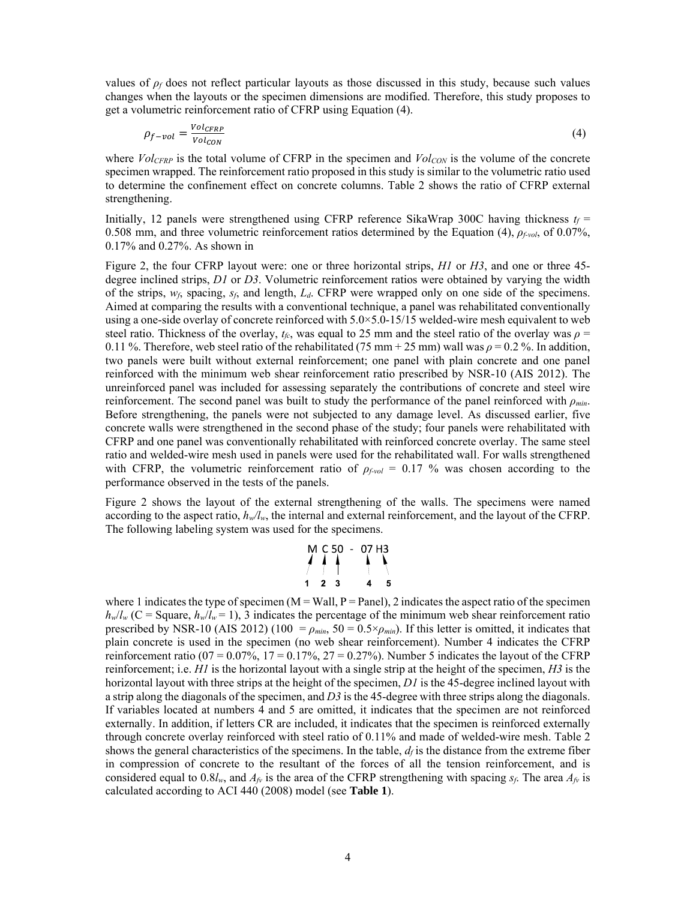values of  $\rho_f$  does not reflect particular layouts as those discussed in this study, because such values changes when the layouts or the specimen dimensions are modified. Therefore, this study proposes to get a volumetric reinforcement ratio of CFRP using Equation (4).

$$
\rho_{f-vol} = \frac{Vol_{CFRP}}{Vol_{CON}}\tag{4}
$$

where  $Vol_{CFRP}$  is the total volume of CFRP in the specimen and  $Vol_{CON}$  is the volume of the concrete specimen wrapped. The reinforcement ratio proposed in this study is similar to the volumetric ratio used to determine the confinement effect on concrete columns. Table 2 shows the ratio of CFRP external strengthening.

Initially, 12 panels were strengthened using CFRP reference SikaWrap 300C having thickness  $t_f$  = 0.508 mm, and three volumetric reinforcement ratios determined by the Equation (4), *ρf-vol*, of 0.07%, 0.17% and 0.27%. As shown in

Figure 2, the four CFRP layout were: one or three horizontal strips, *H1* or *H3*, and one or three 45 degree inclined strips, *D1* or *D3*. Volumetric reinforcement ratios were obtained by varying the width of the strips, *wf*, spacing, *sf*, and length, *Ld*. CFRP were wrapped only on one side of the specimens. Aimed at comparing the results with a conventional technique, a panel was rehabilitated conventionally using a one-side overlay of concrete reinforced with 5.0×5.0-15/15 welded-wire mesh equivalent to web steel ratio. Thickness of the overlay,  $t_f$ <sub>c</sub>, was equal to 25 mm and the steel ratio of the overlay was  $\rho$  = 0.11 %. Therefore, web steel ratio of the rehabilitated (75 mm + 25 mm) wall was  $\rho = 0.2$  %. In addition, two panels were built without external reinforcement; one panel with plain concrete and one panel reinforced with the minimum web shear reinforcement ratio prescribed by NSR-10 (AIS 2012). The unreinforced panel was included for assessing separately the contributions of concrete and steel wire reinforcement. The second panel was built to study the performance of the panel reinforced with *ρmin*. Before strengthening, the panels were not subjected to any damage level. As discussed earlier, five concrete walls were strengthened in the second phase of the study; four panels were rehabilitated with CFRP and one panel was conventionally rehabilitated with reinforced concrete overlay. The same steel ratio and welded-wire mesh used in panels were used for the rehabilitated wall. For walls strengthened with CFRP, the volumetric reinforcement ratio of *ρf-vol* = 0.17 % was chosen according to the performance observed in the tests of the panels.

Figure 2 shows the layout of the external strengthening of the walls. The specimens were named according to the aspect ratio,  $h_w/l_w$ , the internal and external reinforcement, and the layout of the CFRP. The following labeling system was used for the specimens.

|   | $M \, 650$ | $\sim$ | 07 H3 | V |
|---|------------|--------|-------|---|
|   |            |        |       |   |
| 2 | 3          |        |       | 5 |

where 1 indicates the type of specimen ( $M = Wall$ ,  $P = Panel$ ), 2 indicates the aspect ratio of the specimen  $h_w/l_w$  (C = Square,  $h_w/l_w$  = 1), 3 indicates the percentage of the minimum web shear reinforcement ratio prescribed by NSR-10 (AIS 2012) (100 =  $\rho_{min}$ , 50 = 0.5× $\rho_{min}$ ). If this letter is omitted, it indicates that plain concrete is used in the specimen (no web shear reinforcement). Number 4 indicates the CFRP reinforcement ratio (07 =  $0.07\%$ , 17 =  $0.17\%$ , 27 =  $0.27\%$ ). Number 5 indicates the layout of the CFRP reinforcement; i.e. *H1* is the horizontal layout with a single strip at the height of the specimen, *H3* is the horizontal layout with three strips at the height of the specimen, *D1* is the 45-degree inclined layout with a strip along the diagonals of the specimen, and *D3* is the 45-degree with three strips along the diagonals. If variables located at numbers 4 and 5 are omitted, it indicates that the specimen are not reinforced externally. In addition, if letters CR are included, it indicates that the specimen is reinforced externally through concrete overlay reinforced with steel ratio of 0.11% and made of welded-wire mesh. Table 2 shows the general characteristics of the specimens. In the table,  $d_f$  is the distance from the extreme fiber in compression of concrete to the resultant of the forces of all the tension reinforcement, and is considered equal to  $0.8l_w$ , and  $A<sub>f</sub>$  is the area of the CFRP strengthening with spacing *sf*. The area  $A<sub>f</sub>$  is calculated according to ACI 440 (2008) model (see **Table 1**).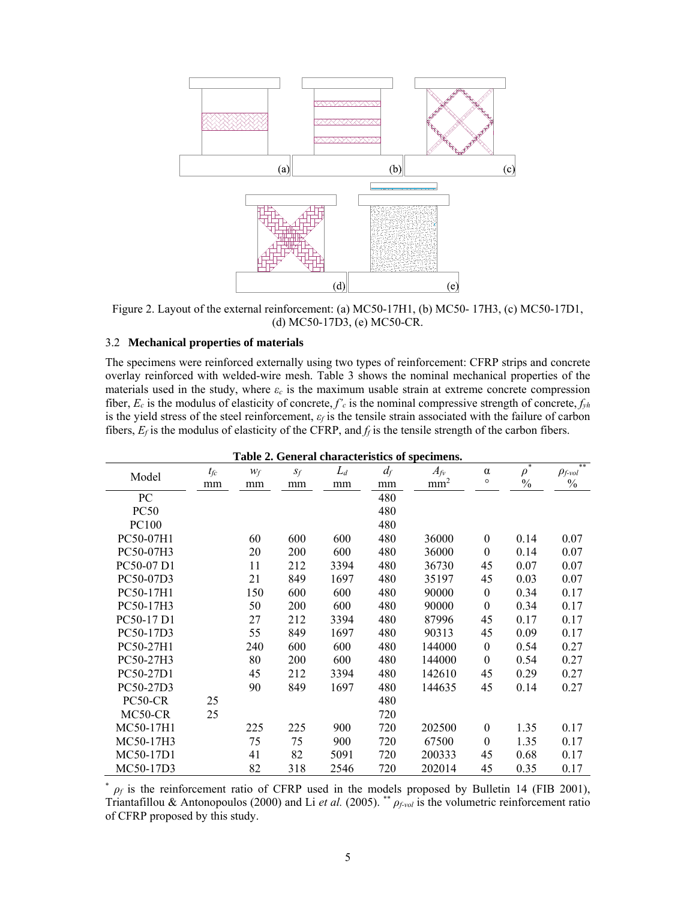

Figure 2. Layout of the external reinforcement: (a) MC50-17H1, (b) MC50- 17H3, (c) MC50-17D1, (d) MC50-17D3, (e) MC50-CR.

#### 3.2 **Mechanical properties of materials**

The specimens were reinforced externally using two types of reinforcement: CFRP strips and concrete overlay reinforced with welded-wire mesh. Table 3 shows the nominal mechanical properties of the materials used in the study, where  $\varepsilon_c$  is the maximum usable strain at extreme concrete compression fiber,  $E_c$  is the modulus of elasticity of concrete,  $f'_c$  is the nominal compressive strength of concrete,  $f_{yh}$ is the yield stress of the steel reinforcement, *εf* is the tensile strain associated with the failure of carbon fibers,  $E_f$  is the modulus of elasticity of the CFRP, and  $f_f$  is the tensile strength of the carbon fibers.

| Table 2. General characteristics of specimens. |          |       |       |       |       |                 |                  |               |                             |
|------------------------------------------------|----------|-------|-------|-------|-------|-----------------|------------------|---------------|-----------------------------|
|                                                | $t_{fc}$ | $W_f$ | $S_f$ | $L_d$ | $d_f$ | $A_{fv}$        | $\alpha$         | $\rho^*$      | **<br>$\rho_{f\text{-}vol}$ |
| Model                                          | mm       | mm    | mm    | mm    | mm    | mm <sup>2</sup> | $\circ$          | $\frac{0}{0}$ | $\frac{0}{0}$               |
| PC                                             |          |       |       |       | 480   |                 |                  |               |                             |
| <b>PC50</b>                                    |          |       |       |       | 480   |                 |                  |               |                             |
| PC100                                          |          |       |       |       | 480   |                 |                  |               |                             |
| PC50-07H1                                      |          | 60    | 600   | 600   | 480   | 36000           | $\theta$         | 0.14          | 0.07                        |
| PC50-07H3                                      |          | 20    | 200   | 600   | 480   | 36000           | $\theta$         | 0.14          | 0.07                        |
| PC50-07 D1                                     |          | 11    | 212   | 3394  | 480   | 36730           | 45               | 0.07          | 0.07                        |
| PC50-07D3                                      |          | 21    | 849   | 1697  | 480   | 35197           | 45               | 0.03          | 0.07                        |
| PC50-17H1                                      |          | 150   | 600   | 600   | 480   | 90000           | $\overline{0}$   | 0.34          | 0.17                        |
| PC50-17H3                                      |          | 50    | 200   | 600   | 480   | 90000           | $\boldsymbol{0}$ | 0.34          | 0.17                        |
| PC50-17 D1                                     |          | 27    | 212   | 3394  | 480   | 87996           | 45               | 0.17          | 0.17                        |
| PC50-17D3                                      |          | 55    | 849   | 1697  | 480   | 90313           | 45               | 0.09          | 0.17                        |
| PC50-27H1                                      |          | 240   | 600   | 600   | 480   | 144000          | $\theta$         | 0.54          | 0.27                        |
| PC50-27H3                                      |          | 80    | 200   | 600   | 480   | 144000          | $\theta$         | 0.54          | 0.27                        |
| PC50-27D1                                      |          | 45    | 212   | 3394  | 480   | 142610          | 45               | 0.29          | 0.27                        |
| PC50-27D3                                      |          | 90    | 849   | 1697  | 480   | 144635          | 45               | 0.14          | 0.27                        |
| PC50-CR                                        | 25       |       |       |       | 480   |                 |                  |               |                             |
| MC50-CR                                        | 25       |       |       |       | 720   |                 |                  |               |                             |
| MC50-17H1                                      |          | 225   | 225   | 900   | 720   | 202500          | $\boldsymbol{0}$ | 1.35          | 0.17                        |
| MC50-17H3                                      |          | 75    | 75    | 900   | 720   | 67500           | $\theta$         | 1.35          | 0.17                        |
| MC50-17D1                                      |          | 41    | 82    | 5091  | 720   | 200333          | 45               | 0.68          | 0.17                        |
| MC50-17D3                                      |          | 82    | 318   | 2546  | 720   | 202014          | 45               | 0.35          | 0.17                        |

\* *ρf* is the reinforcement ratio of CFRP used in the models proposed by Bulletin 14 (FIB 2001), Triantafillou & Antonopoulos (2000) and Li *et al.* (2005). \*\* *ρf-vol* is the volumetric reinforcement ratio of CFRP proposed by this study.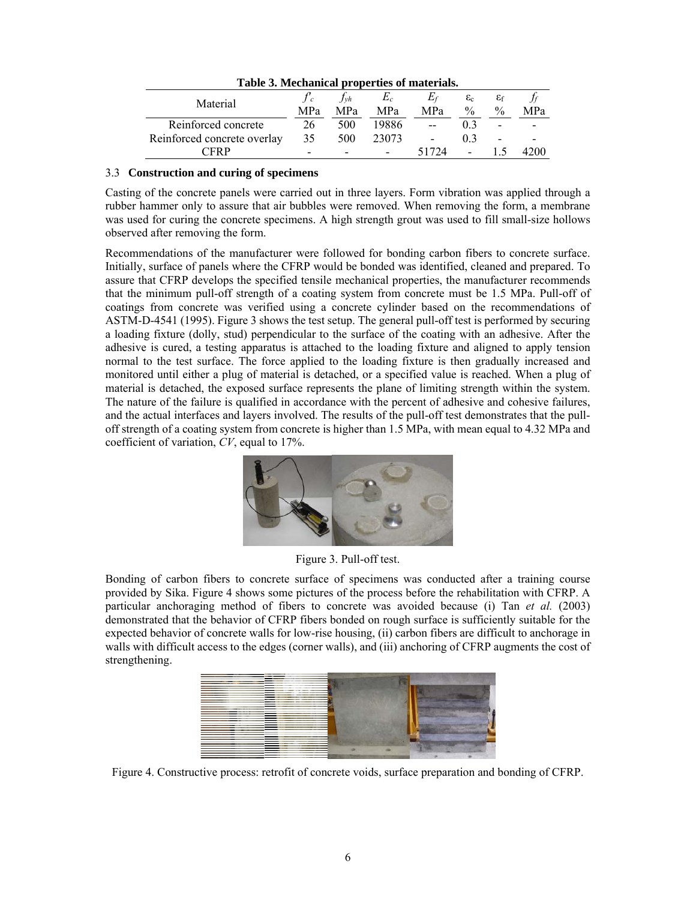| <u>May Musiq and Martin Contract</u> |                          |                          |                     |                          |                                  |                               |                          |
|--------------------------------------|--------------------------|--------------------------|---------------------|--------------------------|----------------------------------|-------------------------------|--------------------------|
| Material                             | MPa                      | $Jv$ h<br>MPa            | $E_c$<br><b>MPa</b> | MPa                      | $\varepsilon_c$<br>$\frac{0}{0}$ | $\varepsilon_{\rm f}$<br>$\%$ | MPa                      |
| Reinforced concrete                  | 26                       | 500                      | 19886               | $-$                      |                                  | $\overline{\phantom{0}}$      | $\overline{\phantom{0}}$ |
| Reinforced concrete overlay          | 35                       | 500                      | 23073               | $\overline{\phantom{a}}$ | 0 <sup>3</sup>                   | $\overline{\phantom{0}}$      |                          |
| <b>CERP</b>                          | $\overline{\phantom{0}}$ | $\overline{\phantom{a}}$ |                     | 51724                    | -                                |                               | 4200                     |

**Table 3. Mechanical properties of materials.** 

#### 3.3 **Construction and curing of specimens**

Casting of the concrete panels were carried out in three layers. Form vibration was applied through a rubber hammer only to assure that air bubbles were removed. When removing the form, a membrane was used for curing the concrete specimens. A high strength grout was used to fill small-size hollows observed after removing the form.

Recommendations of the manufacturer were followed for bonding carbon fibers to concrete surface. Initially, surface of panels where the CFRP would be bonded was identified, cleaned and prepared. To assure that CFRP develops the specified tensile mechanical properties, the manufacturer recommends that the minimum pull-off strength of a coating system from concrete must be 1.5 MPa. Pull-off of coatings from concrete was verified using a concrete cylinder based on the recommendations of ASTM-D-4541 (1995). Figure 3 shows the test setup. The general pull-off test is performed by securing a loading fixture (dolly, stud) perpendicular to the surface of the coating with an adhesive. After the adhesive is cured, a testing apparatus is attached to the loading fixture and aligned to apply tension normal to the test surface. The force applied to the loading fixture is then gradually increased and monitored until either a plug of material is detached, or a specified value is reached. When a plug of material is detached, the exposed surface represents the plane of limiting strength within the system. The nature of the failure is qualified in accordance with the percent of adhesive and cohesive failures, and the actual interfaces and layers involved. The results of the pull-off test demonstrates that the pulloff strength of a coating system from concrete is higher than 1.5 MPa, with mean equal to 4.32 MPa and coefficient of variation, *CV*, equal to 17%.



Figure 3. Pull-off test.

Bonding of carbon fibers to concrete surface of specimens was conducted after a training course provided by Sika. Figure 4 shows some pictures of the process before the rehabilitation with CFRP. A particular anchoraging method of fibers to concrete was avoided because (i) Tan *et al.* (2003) demonstrated that the behavior of CFRP fibers bonded on rough surface is sufficiently suitable for the expected behavior of concrete walls for low-rise housing, (ii) carbon fibers are difficult to anchorage in walls with difficult access to the edges (corner walls), and (iii) anchoring of CFRP augments the cost of strengthening.



Figure 4. Constructive process: retrofit of concrete voids, surface preparation and bonding of CFRP.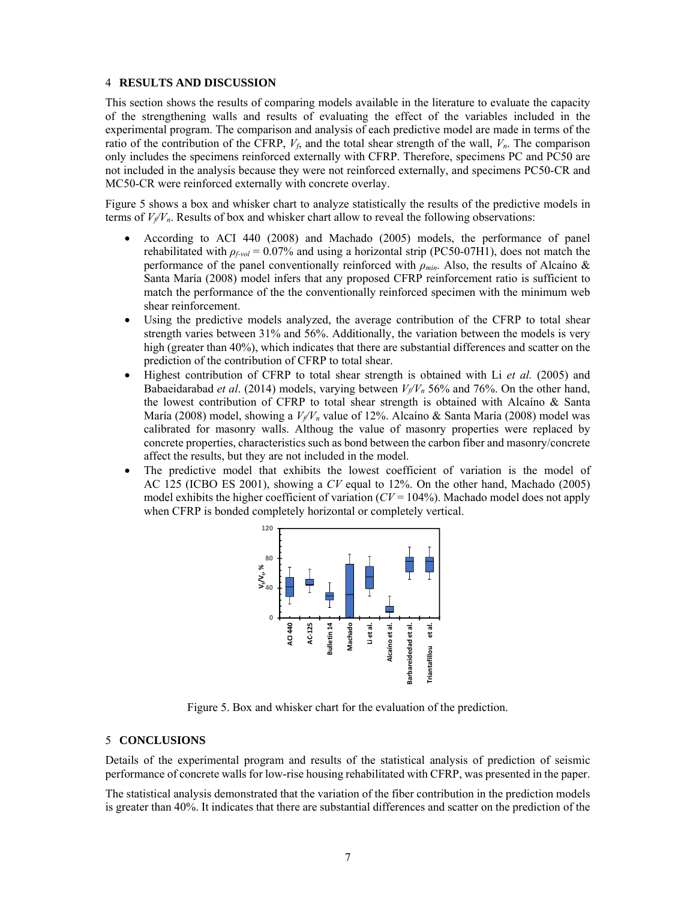#### 4 **RESULTS AND DISCUSSION**

This section shows the results of comparing models available in the literature to evaluate the capacity of the strengthening walls and results of evaluating the effect of the variables included in the experimental program. The comparison and analysis of each predictive model are made in terms of the ratio of the contribution of the CFRP,  $V_f$ , and the total shear strength of the wall,  $V_n$ . The comparison only includes the specimens reinforced externally with CFRP. Therefore, specimens PC and PC50 are not included in the analysis because they were not reinforced externally, and specimens PC50-CR and MC50-CR were reinforced externally with concrete overlay.

Figure 5 shows a box and whisker chart to analyze statistically the results of the predictive models in terms of  $V_f/V_n$ . Results of box and whisker chart allow to reveal the following observations:

- According to ACI 440 (2008) and Machado (2005) models, the performance of panel rehabilitated with *ρf-vol* = 0.07% and using a horizontal strip (PC50-07H1), does not match the performance of the panel conventionally reinforced with *ρmin*. Also, the results of Alcaíno & Santa María (2008) model infers that any proposed CFRP reinforcement ratio is sufficient to match the performance of the the conventionally reinforced specimen with the minimum web shear reinforcement.
- Using the predictive models analyzed, the average contribution of the CFRP to total shear strength varies between 31% and 56%. Additionally, the variation between the models is very high (greater than 40%), which indicates that there are substantial differences and scatter on the prediction of the contribution of CFRP to total shear.
- Highest contribution of CFRP to total shear strength is obtained with Li *et al.* (2005) and Babaeidarabad *et al.* (2014) models, varying between  $V_f/V_n$  56% and 76%. On the other hand, the lowest contribution of CFRP to total shear strength is obtained with Alcaíno & Santa María (2008) model, showing a  $V_f/V_n$  value of 12%. Alcaíno & Santa María (2008) model was calibrated for masonry walls. Althoug the value of masonry properties were replaced by concrete properties, characteristics such as bond between the carbon fiber and masonry/concrete affect the results, but they are not included in the model.
- The predictive model that exhibits the lowest coefficient of variation is the model of AC 125 (ICBO ES 2001), showing a *CV* equal to 12%. On the other hand, Machado (2005) model exhibits the higher coefficient of variation  $(V=104\%)$ . Machado model does not apply when CFRP is bonded completely horizontal or completely vertical.



Figure 5. Box and whisker chart for the evaluation of the prediction.

#### 5 **CONCLUSIONS**

Details of the experimental program and results of the statistical analysis of prediction of seismic performance of concrete walls for low-rise housing rehabilitated with CFRP, was presented in the paper.

The statistical analysis demonstrated that the variation of the fiber contribution in the prediction models is greater than 40%. It indicates that there are substantial differences and scatter on the prediction of the